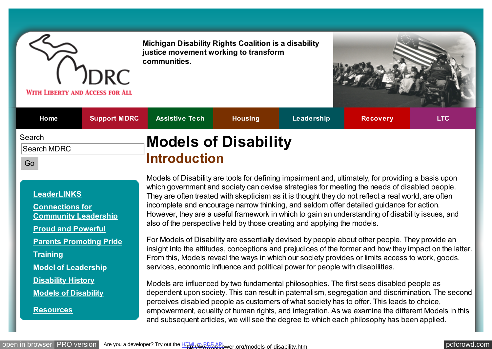

**Michigan Disability Rights Coalition is a disability justice movement working to transform communities.**



| Home                        | <b>Support MDRC</b> | <b>Assistive Tech</b>                              | <b>Housing</b> | Leadership | <b>Recovery</b> | <b>LTC</b> |
|-----------------------------|---------------------|----------------------------------------------------|----------------|------------|-----------------|------------|
| Search<br>Search MDRC<br>Go |                     | <b>Models of Disability</b><br><b>Introduction</b> |                |            |                 |            |

#### **[LeaderLINKS](http://www.copower.org/leaderlinks.html)**

**Connections for [Community Leadership](http://www.copower.org/ccl.html)**

**[Proud and Powerful](http://www.copower.org/proud-and-powerful.html)**

**[Parents Promoting Pride](http://www.copower.org/parents-promoting-pride.html)**

**[Training](http://www.copower.org/training.html)**

**[Model of Leadership](http://www.copower.org/models-of-leadership.html)**

**[Disability History](http://www.copower.org/leader/disability-history.html)**

**[Models of Disability](http://www.copower.org/models-of-disability.html)**

**[Resources](http://www.copower.org/resources.html)**

Models of Disability are tools for defining impairment and, ultimately, for providing a basis upon which government and society can devise strategies for meeting the needs of disabled people. They are often treated with skepticism as it is thought they do not reflect a real world, are often incomplete and encourage narrow thinking, and seldom offer detailed guidance for action. However, they are a useful framework in which to gain an understanding of disability issues, and also of the perspective held by those creating and applying the models.

For Models of Disability are essentially devised by people about other people. They provide an insight into the attitudes, conceptions and prejudices of the former and how they impact on the latter. From this, Models reveal the ways in which our society provides or limits access to work, goods, services, economic influence and political power for people with disabilities.

Models are influenced by two fundamental philosophies. The first sees disabled people as dependent upon society. This can result in paternalism, segregation and discrimination. The second perceives disabled people as customers of what society has to offer. This leads to choice, empowerment, equality of human rights, and integration. As we examine the different Models in this and subsequent articles, we will see the degree to which each philosophy has been applied.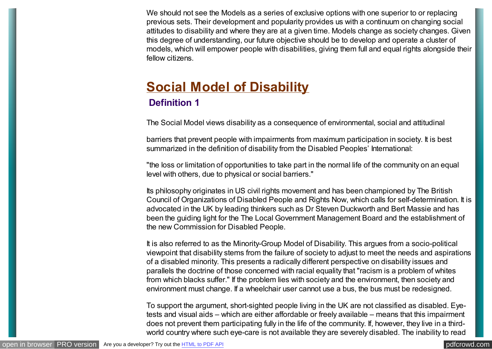We should not see the Models as a series of exclusive options with one superior to or replacing previous sets. Their development and popularity provides us with a continuum on changing social attitudes to disability and where they are at a given time. Models change as society changes. Given this degree of understanding, our future objective should be to develop and operate a cluster of models, which will empower people with disabilities, giving them full and equal rights alongside their fellow citizens.

### **[Social Model of Disability](http://www.copower.org/models-of-disability/182-social-model-of-disability.html) Definition 1**

The Social Model views disability as a consequence of environmental, social and attitudinal

barriers that prevent people with impairments from maximum participation in society. It is best summarized in the definition of disability from the Disabled Peoples' International:

"the loss or limitation of opportunities to take part in the normal life of the community on an equal level with others, due to physical or social barriers."

Its philosophy originates in US civil rights movement and has been championed by The British Council of Organizations of Disabled People and Rights Now, which calls for self-determination. It is advocated in the UK by leading thinkers such as Dr Steven Duckworth and Bert Massie and has been the guiding light for the The Local Government Management Board and the establishment of the new Commission for Disabled People.

It is also referred to as the Minority-Group Model of Disability. This argues from a socio-political viewpoint that disability stems from the failure of society to adjust to meet the needs and aspirations of a disabled minority. This presents a radically different perspective on disability issues and parallels the doctrine of those concerned with racial equality that "racism is a problem of whites from which blacks suffer." If the problem lies with society and the environment, then society and environment must change. If a wheelchair user cannot use a bus, the bus must be redesigned.

To support the argument, short-sighted people living in the UK are not classified as disabled. Eyetests and visual aids – which are either affordable or freely available – means that this impairment does not prevent them participating fully in the life of the community. If, however, they live in a thirdworld country where such eye-care is not available they are severely disabled. The inability to read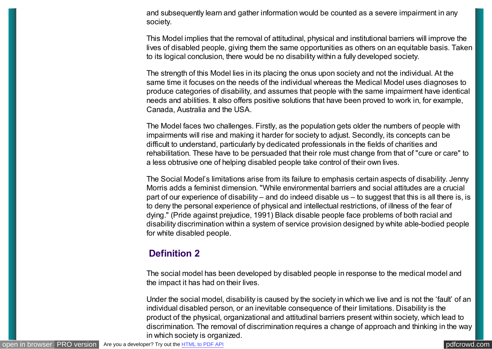and subsequently learn and gather information would be counted as a severe impairment in any society.

This Model implies that the removal of attitudinal, physical and institutional barriers will improve the lives of disabled people, giving them the same opportunities as others on an equitable basis. Taken to its logical conclusion, there would be no disability within a fully developed society.

The strength of this Model lies in its placing the onus upon society and not the individual. At the same time it focuses on the needs of the individual whereas the Medical Model uses diagnoses to produce categories of disability, and assumes that people with the same impairment have identical needs and abilities. It also offers positive solutions that have been proved to work in, for example, Canada, Australia and the USA.

The Model faces two challenges. Firstly, as the population gets older the numbers of people with impairments will rise and making it harder for society to adjust. Secondly, its concepts can be difficult to understand, particularly by dedicated professionals in the fields of charities and rehabilitation. These have to be persuaded that their role must change from that of "cure or care" to a less obtrusive one of helping disabled people take control of their own lives.

The Social Model's limitations arise from its failure to emphasis certain aspects of disability. Jenny Morris adds a feminist dimension. "While environmental barriers and social attitudes are a crucial part of our experience of disability – and do indeed disable us – to suggest that this is all there is, is to deny the personal experience of physical and intellectual restrictions, of illness of the fear of dying." (Pride against prejudice, 1991) Black disable people face problems of both racial and disability discrimination within a system of service provision designed by white able-bodied people for white disabled people.

#### **Definition 2**

The social model has been developed by disabled people in response to the medical model and the impact it has had on their lives.

Under the social model, disability is caused by the society in which we live and is not the 'fault' of an individual disabled person, or an inevitable consequence of their limitations. Disability is the product of the physical, organizational and attitudinal barriers present within society, which lead to discrimination. The removal of discrimination requires a change of approach and thinking in the way in which society is organized.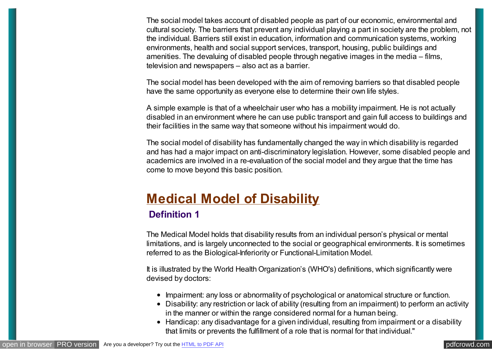The social model takes account of disabled people as part of our economic, environmental and cultural society. The barriers that prevent any individual playing a part in society are the problem, not the individual. Barriers still exist in education, information and communication systems, working environments, health and social support services, transport, housing, public buildings and amenities. The devaluing of disabled people through negative images in the media – films, television and newspapers – also act as a barrier.

The social model has been developed with the aim of removing barriers so that disabled people have the same opportunity as everyone else to determine their own life styles.

A simple example is that of a wheelchair user who has a mobility impairment. He is not actually disabled in an environment where he can use public transport and gain full access to buildings and their facilities in the same way that someone without his impairment would do.

The social model of disability has fundamentally changed the way in which disability is regarded and has had a major impact on anti-discriminatory legislation. However, some disabled people and academics are involved in a re-evaluation of the social model and they argue that the time has come to move beyond this basic position.

### **[Medical Model of Disability](http://www.copower.org/models-of-disability/181-medical-model-of-disability.html)**

#### **Definition 1**

The Medical Model holds that disability results from an individual person's physical or mental limitations, and is largely unconnected to the social or geographical environments. It is sometimes referred to as the Biological-Inferiority or Functional-Limitation Model.

It is illustrated by the World Health Organization's (WHO's) definitions, which significantly were devised by doctors:

- Impairment: any loss or abnormality of psychological or anatomical structure or function.
- Disability: any restriction or lack of ability (resulting from an impairment) to perform an activity in the manner or within the range considered normal for a human being.
- Handicap: any disadvantage for a given individual, resulting from impairment or a disability that limits or prevents the fulfillment of a role that is normal for that individual."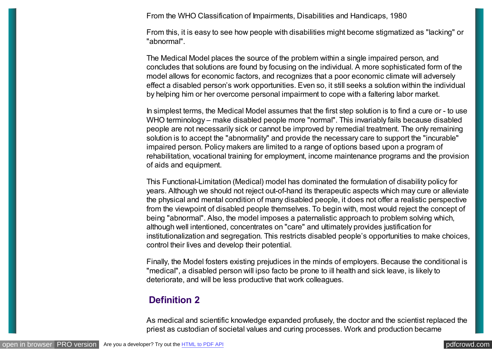From the WHO Classification of Impairments, Disabilities and Handicaps, 1980

From this, it is easy to see how people with disabilities might become stigmatized as "lacking" or "abnormal".

The Medical Model places the source of the problem within a single impaired person, and concludes that solutions are found by focusing on the individual. A more sophisticated form of the model allows for economic factors, and recognizes that a poor economic climate will adversely effect a disabled person's work opportunities. Even so, it still seeks a solution within the individual by helping him or her overcome personal impairment to cope with a faltering labor market.

In simplest terms, the Medical Model assumes that the first step solution is to find a cure or - to use WHO terminology – make disabled people more "normal". This invariably fails because disabled people are not necessarily sick or cannot be improved by remedial treatment. The only remaining solution is to accept the "abnormality" and provide the necessary care to support the "incurable" impaired person. Policy makers are limited to a range of options based upon a program of rehabilitation, vocational training for employment, income maintenance programs and the provision of aids and equipment.

This Functional-Limitation (Medical) model has dominated the formulation of disability policy for years. Although we should not reject out-of-hand its therapeutic aspects which may cure or alleviate the physical and mental condition of many disabled people, it does not offer a realistic perspective from the viewpoint of disabled people themselves. To begin with, most would reject the concept of being "abnormal". Also, the model imposes a paternalistic approach to problem solving which, although well intentioned, concentrates on "care" and ultimately provides justification for institutionalization and segregation. This restricts disabled people's opportunities to make choices, control their lives and develop their potential.

Finally, the Model fosters existing prejudices in the minds of employers. Because the conditional is "medical", a disabled person will ipso facto be prone to ill health and sick leave, is likely to deteriorate, and will be less productive that work colleagues.

#### **Definition 2**

As medical and scientific knowledge expanded profusely, the doctor and the scientist replaced the priest as custodian of societal values and curing processes. Work and production became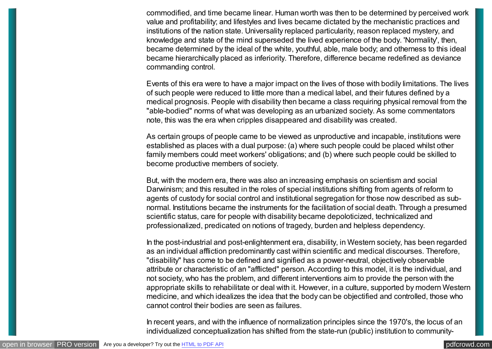commodified, and time became linear. Human worth was then to be determined by perceived work value and profitability; and lifestyles and lives became dictated by the mechanistic practices and institutions of the nation state. Universality replaced particularity, reason replaced mystery, and knowledge and state of the mind superseded the lived experience of the body. 'Normality', then, became determined by the ideal of the white, youthful, able, male body; and otherness to this ideal became hierarchically placed as inferiority. Therefore, difference became redefined as deviance commanding control.

Events of this era were to have a major impact on the lives of those with bodily limitations. The lives of such people were reduced to little more than a medical label, and their futures defined by a medical prognosis. People with disability then became a class requiring physical removal from the "able-bodied" norms of what was developing as an urbanized society. As some commentators note, this was the era when cripples disappeared and disability was created.

As certain groups of people came to be viewed as unproductive and incapable, institutions were established as places with a dual purpose: (a) where such people could be placed whilst other family members could meet workers' obligations; and (b) where such people could be skilled to become productive members of society.

But, with the modern era, there was also an increasing emphasis on scientism and social Darwinism; and this resulted in the roles of special institutions shifting from agents of reform to agents of custody for social control and institutional segregation for those now described as subnormal. Institutions became the instruments for the facilitation of social death. Through a presumed scientific status, care for people with disability became depoloticized, technicalized and professionalized, predicated on notions of tragedy, burden and helpless dependency.

In the post-industrial and post-enlightenment era, disability, in Western society, has been regarded as an individual affliction predominantly cast within scientific and medical discourses. Therefore, "disability" has come to be defined and signified as a power-neutral, objectively observable attribute or characteristic of an "afflicted" person. According to this model, it is the individual, and not society, who has the problem, and different interventions aim to provide the person with the appropriate skills to rehabilitate or deal with it. However, in a culture, supported by modern Western medicine, and which idealizes the idea that the body can be objectified and controlled, those who cannot control their bodies are seen as failures.

In recent years, and with the influence of normalization principles since the 1970's, the locus of an individualized conceptualization has shifted from the state-run (public) institution to community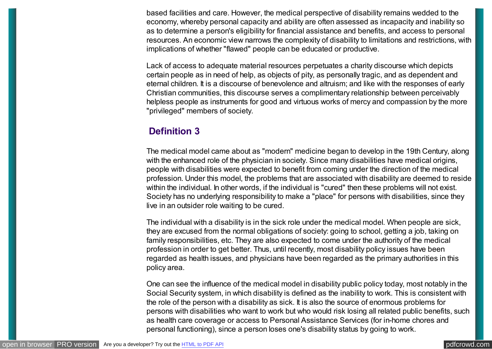based facilities and care. However, the medical perspective of disability remains wedded to the economy, whereby personal capacity and ability are often assessed as incapacity and inability so as to determine a person's eligibility for financial assistance and benefits, and access to personal resources. An economic view narrows the complexity of disability to limitations and restrictions, with implications of whether "flawed" people can be educated or productive.

Lack of access to adequate material resources perpetuates a charity discourse which depicts certain people as in need of help, as objects of pity, as personally tragic, and as dependent and eternal children. It is a discourse of benevolence and altruism; and like with the responses of early Christian communities, this discourse serves a complimentary relationship between perceivably helpless people as instruments for good and virtuous works of mercy and compassion by the more "privileged" members of society.

#### **Definition 3**

The medical model came about as "modern" medicine began to develop in the 19th Century, along with the enhanced role of the physician in society. Since many disabilities have medical origins, people with disabilities were expected to benefit from coming under the direction of the medical profession. Under this model, the problems that are associated with disability are deemed to reside within the individual. In other words, if the individual is "cured" then these problems will not exist. Society has no underlying responsibility to make a "place" for persons with disabilities, since they live in an outsider role waiting to be cured.

The individual with a disability is in the sick role under the medical model. When people are sick, they are excused from the normal obligations of society: going to school, getting a job, taking on family responsibilities, etc. They are also expected to come under the authority of the medical profession in order to get better. Thus, until recently, most disability policy issues have been regarded as health issues, and physicians have been regarded as the primary authorities in this policy area.

One can see the influence of the medical model in disability public policy today, most notably in the Social Security system, in which disability is defined as the inability to work. This is consistent with the role of the person with a disability as sick. It is also the source of enormous problems for persons with disabilities who want to work but who would risk losing all related public benefits, such as health care coverage or access to Personal Assistance Services (for in-home chores and personal functioning), since a person loses one's disability status by going to work.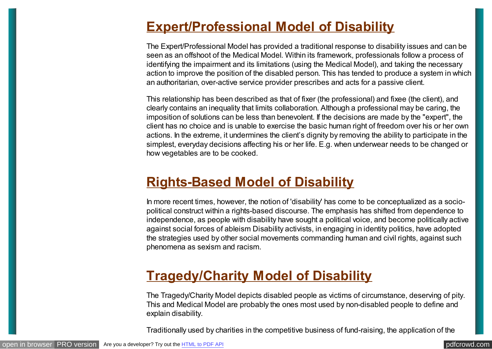### **[Expert/Professional Model of Disability](http://www.copower.org/models-of-disability/180-expertprofessional-model-of-disability.html)**

The Expert/Professional Model has provided a traditional response to disability issues and can be seen as an offshoot of the Medical Model. Within its framework, professionals follow a process of identifying the impairment and its limitations (using the Medical Model), and taking the necessary action to improve the position of the disabled person. This has tended to produce a system in which an authoritarian, over-active service provider prescribes and acts for a passive client.

This relationship has been described as that of fixer (the professional) and fixee (the client), and clearly contains an inequality that limits collaboration. Although a professional may be caring, the imposition of solutions can be less than benevolent. If the decisions are made by the "expert", the client has no choice and is unable to exercise the basic human right of freedom over his or her own actions. In the extreme, it undermines the client's dignity by removing the ability to participate in the simplest, everyday decisions affecting his or her life. E.g. when underwear needs to be changed or how vegetables are to be cooked.

### **[Rights-Based Model of Disability](http://www.copower.org/models-of-disability/179-rights-based-model-of-disability.html)**

In more recent times, however, the notion of 'disability' has come to be conceptualized as a sociopolitical construct within a rights-based discourse. The emphasis has shifted from dependence to independence, as people with disability have sought a political voice, and become politically active against social forces of ableism Disability activists, in engaging in identity politics, have adopted the strategies used by other social movements commanding human and civil rights, against such phenomena as sexism and racism.

### **[Tragedy/Charity Model of Disability](http://www.copower.org/models-of-disability/178-tragedycharity-model-of-disability.html)**

The Tragedy/Charity Model depicts disabled people as victims of circumstance, deserving of pity. This and Medical Model are probably the ones most used by non-disabled people to define and explain disability.

Traditionally used by charities in the competitive business of fund-raising, the application of the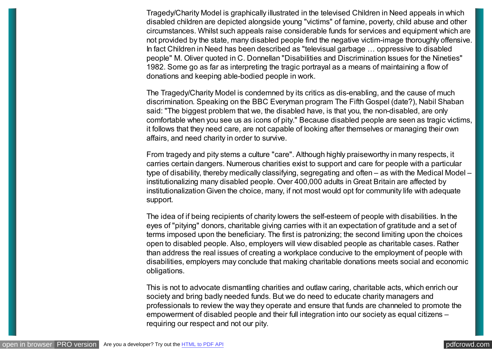Tragedy/Charity Model is graphically illustrated in the televised Children in Need appeals in which disabled children are depicted alongside young "victims" of famine, poverty, child abuse and other circumstances. Whilst such appeals raise considerable funds for services and equipment which are not provided by the state, many disabled people find the negative victim-image thoroughly offensive. In fact Children in Need has been described as "televisual garbage … oppressive to disabled people" M. Oliver quoted in C. Donnellan "Disabilities and Discrimination Issues for the Nineties" 1982. Some go as far as interpreting the tragic portrayal as a means of maintaining a flow of donations and keeping able-bodied people in work.

The Tragedy/Charity Model is condemned by its critics as dis-enabling, and the cause of much discrimination. Speaking on the BBC Everyman program The Fifth Gospel (date?), Nabil Shaban said: "The biggest problem that we, the disabled have, is that you, the non-disabled, are only comfortable when you see us as icons of pity." Because disabled people are seen as tragic victims, it follows that they need care, are not capable of looking after themselves or managing their own affairs, and need charity in order to survive.

From tragedy and pity stems a culture "care". Although highly praiseworthy in many respects, it carries certain dangers. Numerous charities exist to support and care for people with a particular type of disability, thereby medically classifying, segregating and often – as with the Medical Model – institutionalizing many disabled people. Over 400,000 adults in Great Britain are affected by institutionalization Given the choice, many, if not most would opt for community life with adequate support.

The idea of if being recipients of charity lowers the self-esteem of people with disabilities. In the eyes of "pitying" donors, charitable giving carries with it an expectation of gratitude and a set of terms imposed upon the beneficiary. The first is patronizing; the second limiting upon the choices open to disabled people. Also, employers will view disabled people as charitable cases. Rather than address the real issues of creating a workplace conducive to the employment of people with disabilities, employers may conclude that making charitable donations meets social and economic obligations.

This is not to advocate dismantling charities and outlaw caring, charitable acts, which enrich our society and bring badly needed funds. But we do need to educate charity managers and professionals to review the way they operate and ensure that funds are channeled to promote the empowerment of disabled people and their full integration into our society as equal citizens – requiring our respect and not our pity.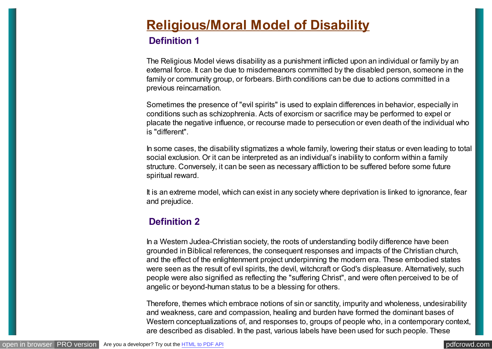# **[Religious/Moral Model of Disability](http://www.copower.org/models-of-disability/177-religiousmoral-model-of-disability.html)**

#### **Definition 1**

The Religious Model views disability as a punishment inflicted upon an individual or family by an external force. It can be due to misdemeanors committed by the disabled person, someone in the family or community group, or forbears. Birth conditions can be due to actions committed in a previous reincarnation.

Sometimes the presence of "evil spirits" is used to explain differences in behavior, especially in conditions such as schizophrenia. Acts of exorcism or sacrifice may be performed to expel or placate the negative influence, or recourse made to persecution or even death of the individual who is "different".

In some cases, the disability stigmatizes a whole family, lowering their status or even leading to total social exclusion. Or it can be interpreted as an individual's inability to conform within a family structure. Conversely, it can be seen as necessary affliction to be suffered before some future spiritual reward.

It is an extreme model, which can exist in any society where deprivation is linked to ignorance, fear and prejudice.

#### **Definition 2**

In a Western Judea-Christian society, the roots of understanding bodily difference have been grounded in Biblical references, the consequent responses and impacts of the Christian church, and the effect of the enlightenment project underpinning the modern era. These embodied states were seen as the result of evil spirits, the devil, witchcraft or God's displeasure. Alternatively, such people were also signified as reflecting the "suffering Christ", and were often perceived to be of angelic or beyond-human status to be a blessing for others.

Therefore, themes which embrace notions of sin or sanctity, impurity and wholeness, undesirability and weakness, care and compassion, healing and burden have formed the dominant bases of Western conceptualizations of, and responses to, groups of people who, in a contemporary context, are described as disabled. In the past, various labels have been used for such people. These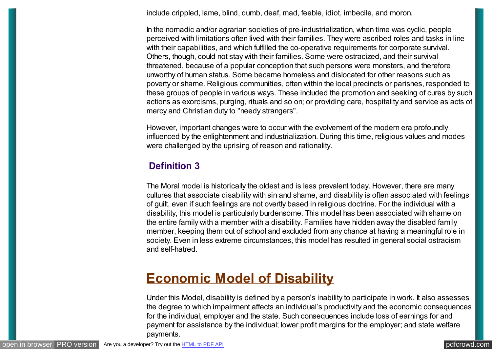include crippled, lame, blind, dumb, deaf, mad, feeble, idiot, imbecile, and moron.

In the nomadic and/or agrarian societies of pre-industrialization, when time was cyclic, people perceived with limitations often lived with their families. They were ascribed roles and tasks in line with their capabilities, and which fulfilled the co-operative requirements for corporate survival. Others, though, could not stay with their families. Some were ostracized, and their survival threatened, because of a popular conception that such persons were monsters, and therefore unworthy of human status. Some became homeless and dislocated for other reasons such as poverty or shame. Religious communities, often within the local precincts or parishes, responded to these groups of people in various ways. These included the promotion and seeking of cures by such actions as exorcisms, purging, rituals and so on; or providing care, hospitality and service as acts of mercy and Christian duty to "needy strangers".

However, important changes were to occur with the evolvement of the modern era profoundly influenced by the enlightenment and industrialization. During this time, religious values and modes were challenged by the uprising of reason and rationality.

#### **Definition 3**

The Moral model is historically the oldest and is less prevalent today. However, there are many cultures that associate disability with sin and shame, and disability is often associated with feelings of guilt, even if such feelings are not overtly based in religious doctrine. For the individual with a disability, this model is particularly burdensome. This model has been associated with shame on the entire family with a member with a disability. Families have hidden away the disabled family member, keeping them out of school and excluded from any chance at having a meaningful role in society. Even in less extreme circumstances, this model has resulted in general social ostracism and self-hatred.

### **[Economic Model of Disability](http://www.copower.org/models-of-disability/176-economic-model-of-disability.html)**

Under this Model, disability is defined by a person's inability to participate in work. It also assesses the degree to which impairment affects an individual's productivity and the economic consequences for the individual, employer and the state. Such consequences include loss of earnings for and payment for assistance by the individual; lower profit margins for the employer; and state welfare payments.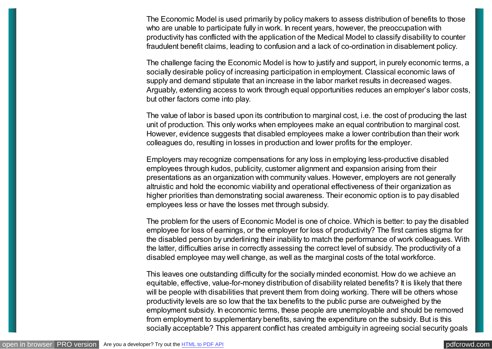The Economic Model is used primarily by policy makers to assess distribution of benefits to those who are unable to participate fully in work. In recent years, however, the preoccupation with productivity has conflicted with the application of the Medical Model to classify disability to counter fraudulent benefit claims, leading to confusion and a lack of co-ordination in disablement policy.

The challenge facing the Economic Model is how to justify and support, in purely economic terms, a socially desirable policy of increasing participation in employment. Classical economic laws of supply and demand stipulate that an increase in the labor market results in decreased wages. Arguably, extending access to work through equal opportunities reduces an employer's labor costs, but other factors come into play.

The value of labor is based upon its contribution to marginal cost, i.e. the cost of producing the last unit of production. This only works when employees make an equal contribution to marginal cost. However, evidence suggests that disabled employees make a lower contribution than their work colleagues do, resulting in losses in production and lower profits for the employer.

Employers may recognize compensations for any loss in employing less-productive disabled employees through kudos, publicity, customer alignment and expansion arising from their presentations as an organization with community values. However, employers are not generally altruistic and hold the economic viability and operational effectiveness of their organization as higher priorities than demonstrating social awareness. Their economic option is to pay disabled employees less or have the losses met through subsidy.

The problem for the users of Economic Model is one of choice. Which is better: to pay the disabled employee for loss of earnings, or the employer for loss of productivity? The first carries stigma for the disabled person by underlining their inability to match the performance of work colleagues. With the latter, difficulties arise in correctly assessing the correct level of subsidy. The productivity of a disabled employee may well change, as well as the marginal costs of the total workforce.

This leaves one outstanding difficulty for the socially minded economist. How do we achieve an equitable, effective, value-for-money distribution of disability related benefits? It is likely that there will be people with disabilities that prevent them from doing working. There will be others whose productivity levels are so low that the tax benefits to the public purse are outweighed by the employment subsidy. In economic terms, these people are unemployable and should be removed from employment to supplementary benefits, saving the expenditure on the subsidy. But is this socially acceptable? This apparent conflict has created ambiguity in agreeing social security goals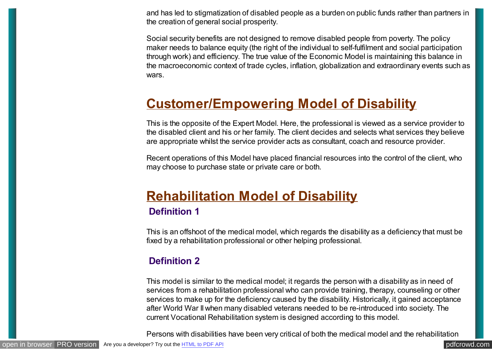and has led to stigmatization of disabled people as a burden on public funds rather than partners in the creation of general social prosperity.

Social security benefits are not designed to remove disabled people from poverty. The policy maker needs to balance equity (the right of the individual to self-fulfilment and social participation through work) and efficiency. The true value of the Economic Model is maintaining this balance in the macroeconomic context of trade cycles, inflation, globalization and extraordinary events such as wars.

### **[Customer/Empowering Model of Disability](http://www.copower.org/models-of-disability/175-customerempowering-model-of-disability.html)**

This is the opposite of the Expert Model. Here, the professional is viewed as a service provider to the disabled client and his or her family. The client decides and selects what services they believe are appropriate whilst the service provider acts as consultant, coach and resource provider.

Recent operations of this Model have placed financial resources into the control of the client, who may choose to purchase state or private care or both.

## **[Rehabilitation Model of Disability](http://www.copower.org/models-of-disability/174-rehabilitation-model-of-disability.html)**

#### **Definition 1**

This is an offshoot of the medical model, which regards the disability as a deficiency that must be fixed by a rehabilitation professional or other helping professional.

### **Definition 2**

This model is similar to the medical model; it regards the person with a disability as in need of services from a rehabilitation professional who can provide training, therapy, counseling or other services to make up for the deficiency caused by the disability. Historically, it gained acceptance after World War II when many disabled veterans needed to be re-introduced into society. The current Vocational Rehabilitation system is designed according to this model.

Persons with disabilities have been very critical of both the medical model and the rehabilitation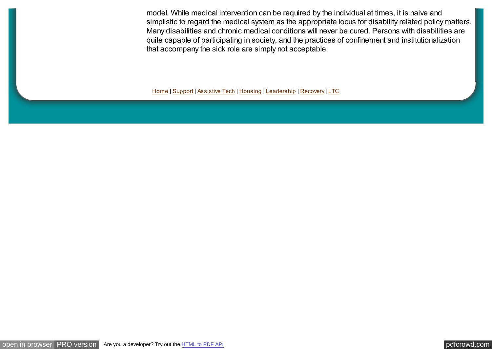model. While medical intervention can be required by the individual at times, it is naive and simplistic to regard the medical system as the appropriate locus for disability related policy matters. Many disabilities and chronic medical conditions will never be cured. Persons with disabilities are quite capable of participating in society, and the practices of confinement and institutionalization that accompany the sick role are simply not acceptable.

[Home](http://www.copower.org/home.html) | [Support](http://www.copower.org/support.html) | [Assistive Tech](http://www.copower.org/assistive-tech.html) | [Housing](http://www.copower.org/housing.html) | [Leadership](http://www.copower.org/leader.html) | [Recovery](http://www.copower.org/recovery.html) | [LTC](http://www.copower.org/ltc.html)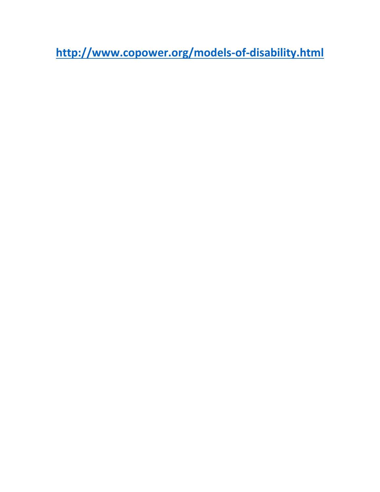**<http://www.copower.org/models-of-disability.html>**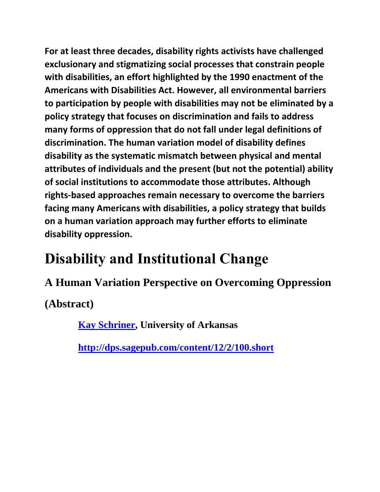**For at least three decades, disability rights activists have challenged exclusionary and stigmatizing social processes that constrain people with disabilities, an effort highlighted by the 1990 enactment of the Americans with Disabilities Act. However, all environmental barriers to participation by people with disabilities may not be eliminated by a policy strategy that focuses on discrimination and fails to address many forms of oppression that do not fall under legal definitions of discrimination. The human variation model of disability defines disability as the systematic mismatch between physical and mental attributes of individuals and the present (but not the potential) ability of social institutions to accommodate those attributes. Although rights-based approaches remain necessary to overcome the barriers facing many Americans with disabilities, a policy strategy that builds on a human variation approach may further efforts to eliminate disability oppression.**

# **Disability and Institutional Change**

**A Human Variation Perspective on Overcoming Oppression**

**(Abstract)**

**[Kay Schriner,](http://dps.sagepub.com/search?author1=Kay+Schriner&sortspec=date&submit=Submit) University of Arkansas**

**<http://dps.sagepub.com/content/12/2/100.short>**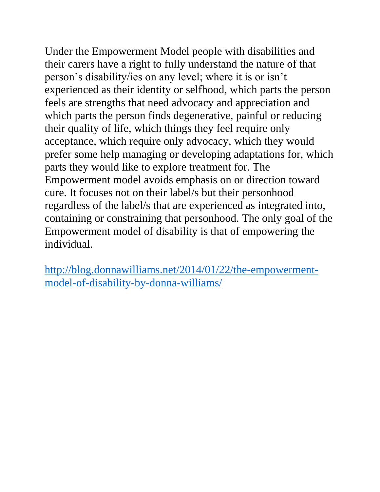Under the Empowerment Model people with disabilities and their carers have a right to fully understand the nature of that person's disability/ies on any level; where it is or isn't experienced as their identity or selfhood, which parts the person feels are strengths that need advocacy and appreciation and which parts the person finds degenerative, painful or reducing their quality of life, which things they feel require only acceptance, which require only advocacy, which they would prefer some help managing or developing adaptations for, which parts they would like to explore treatment for. The Empowerment model avoids emphasis on or direction toward cure. It focuses not on their label/s but their personhood regardless of the label/s that are experienced as integrated into, containing or constraining that personhood. The only goal of the Empowerment model of disability is that of empowering the individual.

[http://blog.donnawilliams.net/2014/01/22/the-empowerment](http://blog.donnawilliams.net/2014/01/22/the-empowerment-model-of-disability-by-donna-williams/)[model-of-disability-by-donna-williams/](http://blog.donnawilliams.net/2014/01/22/the-empowerment-model-of-disability-by-donna-williams/)